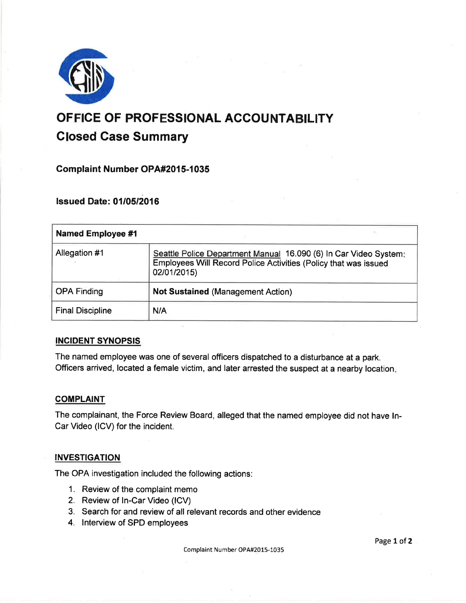

# OFFICE OF PROFESSIONAL ACCOUNTABILITY Closed Gase Summary

**Complaint Number OPA#2015-1035** 

**lssued Date: 01/05/2016** 

| <b>Named Employee #1</b> |                                                                                                                                                    |
|--------------------------|----------------------------------------------------------------------------------------------------------------------------------------------------|
| Allegation #1            | Seattle Police Department Manual 16.090 (6) In Car Video System:<br>Employees Will Record Police Activities (Policy that was issued<br>02/01/2015) |
| <b>OPA Finding</b>       | <b>Not Sustained (Management Action)</b>                                                                                                           |
| <b>Final Discipline</b>  | N/A                                                                                                                                                |

## INCIDENT SYNOPSIS

The named employee was one of several officers dispatched to a disturbance at a park. Officers arrived, located a female victim, and later arrested the suspect at a nearby location

## **COMPLAINT**

The complainant, the Force Review Board, alleged that the named employee did not have In-Car Video (lCV) for the incident.

## **INVESTIGATION**

The OPA investigation included the following actions:

- 1. Review of the complaint memo
- 2. Review of ln-Car Video (lCV)
- 3. Search for and review of all relevant records and other evidence
- 4. lnterview of SPD employees

Page 1 of 2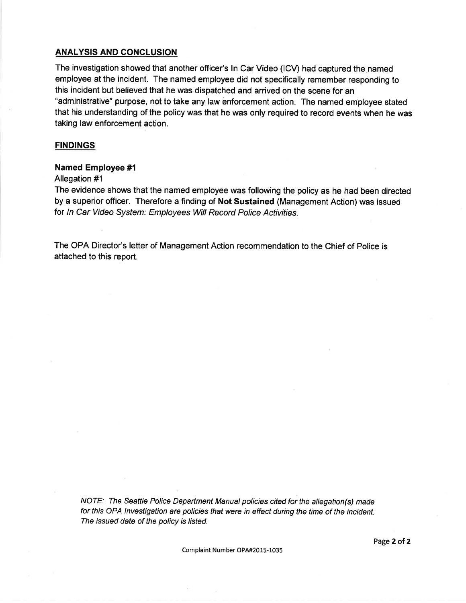#### ANALYSIS AND CONCLUSION

The investigation showed that another officer's ln Car Video (lCV) had captured the named employee at the incident. The named employee did not specifically remember responding to this incident but believed that he was dispatched and arrived on the scene for an "administrative" purpose, not to take any law enforcement action. The named employee stated that his understanding of the policy was that he was only required to record events when he was taking law enforcement action.

#### **FINDINGS**

#### Named Employee #l

Allegation #1

The evidence shows that the named employee was following the policy as he had been directed by a superior officer. Therefore a finding of Not Sustained (Management Action) was issued for In Car Video Sysfem: Employees Will Record Police Activities.

The OPA Director's letter of Management Action recommendation to the Chief of Police is attached to this report.

NOTE: The Seattle Police Department Manual policies cited for the allegation(s) made for this OPA lnvestigation are policies that were in effect during the time of the incident. The issued date of the policy is listed.

Complaint Number OPA#2015-1035